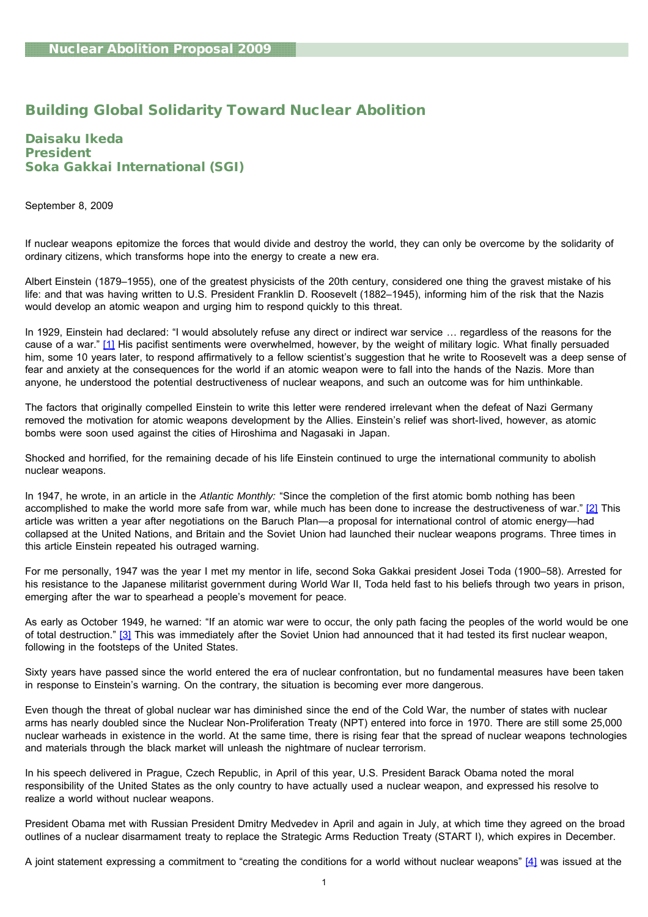# Building Global Solidarity Toward Nuclear Abolition

Daisaku Ikeda President Soka Gakkai International (SGI)

September 8, 2009

If nuclear weapons epitomize the forces that would divide and destroy the world, they can only be overcome by the solidarity of ordinary citizens, which transforms hope into the energy to create a new era.

Albert Einstein (1879–1955), one of the greatest physicists of the 20th century, considered one thing the gravest mistake of his life: and that was having written to U.S. President Franklin D. Roosevelt (1882–1945), informing him of the risk that the Nazis would develop an atomic weapon and urging him to respond quickly to this threat.

In 1929, Einstein had declared: "I would absolutely refuse any direct or indirect war service … regardless of the reasons for the cause of a war." [\[1\]](#page-14-0) His pacifist sentiments were overwhelmed, however, by the weight of military logic. What finally persuaded him, some 10 years later, to respond affirmatively to a fellow scientist's suggestion that he write to Roosevelt was a deep sense of fear and anxiety at the consequences for the world if an atomic weapon were to fall into the hands of the Nazis. More than anyone, he understood the potential destructiveness of nuclear weapons, and such an outcome was for him unthinkable.

The factors that originally compelled Einstein to write this letter were rendered irrelevant when the defeat of Nazi Germany removed the motivation for atomic weapons development by the Allies. Einstein's relief was short-lived, however, as atomic bombs were soon used against the cities of Hiroshima and Nagasaki in Japan.

Shocked and horrified, for the remaining decade of his life Einstein continued to urge the international community to abolish nuclear weapons.

In 1947, he wrote, in an article in the *Atlantic Monthly:* "Since the completion of the first atomic bomb nothing has been accomplished to make the world more safe from war, while much has been done to increase the destructiveness of war." [\[2\]](#page-14-0) This article was written a year after negotiations on the Baruch Plan—a proposal for international control of atomic energy—had collapsed at the United Nations, and Britain and the Soviet Union had launched their nuclear weapons programs. Three times in this article Einstein repeated his outraged warning.

For me personally, 1947 was the year I met my mentor in life, second Soka Gakkai president Josei Toda (1900–58). Arrested for his resistance to the Japanese militarist government during World War II, Toda held fast to his beliefs through two years in prison, emerging after the war to spearhead a people's movement for peace.

As early as October 1949, he warned: "If an atomic war were to occur, the only path facing the peoples of the world would be one of total destruction." [\[3\]](#page-14-0) This was immediately after the Soviet Union had announced that it had tested its first nuclear weapon, following in the footsteps of the United States.

Sixty years have passed since the world entered the era of nuclear confrontation, but no fundamental measures have been taken in response to Einstein's warning. On the contrary, the situation is becoming ever more dangerous.

Even though the threat of global nuclear war has diminished since the end of the Cold War, the number of states with nuclear arms has nearly doubled since the Nuclear Non-Proliferation Treaty (NPT) entered into force in 1970. There are still some 25,000 nuclear warheads in existence in the world. At the same time, there is rising fear that the spread of nuclear weapons technologies and materials through the black market will unleash the nightmare of nuclear terrorism.

In his speech delivered in Prague, Czech Republic, in April of this year, U.S. President Barack Obama noted the moral responsibility of the United States as the only country to have actually used a nuclear weapon, and expressed his resolve to realize a world without nuclear weapons.

President Obama met with Russian President Dmitry Medvedev in April and again in July, at which time they agreed on the broad outlines of a nuclear disarmament treaty to replace the Strategic Arms Reduction Treaty (START I), which expires in December.

A joint statement expressing a commitment to "creating the conditions for a world without nuclear weapons" [\[4\]](#page-14-0) was issued at the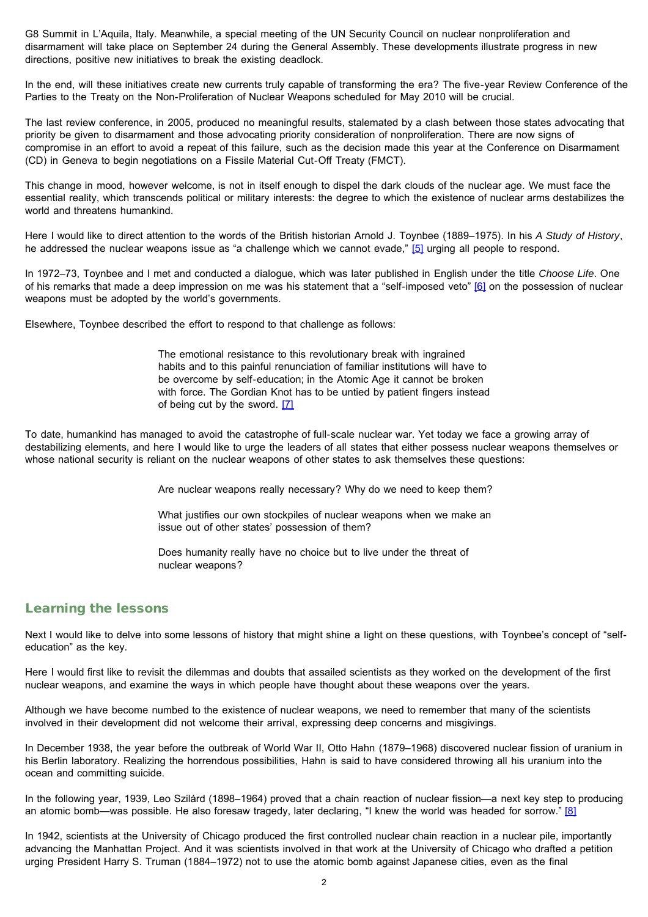G8 Summit in L'Aquila, Italy. Meanwhile, a special meeting of the UN Security Council on nuclear nonproliferation and disarmament will take place on September 24 during the General Assembly. These developments illustrate progress in new directions, positive new initiatives to break the existing deadlock.

In the end, will these initiatives create new currents truly capable of transforming the era? The five-year Review Conference of the Parties to the Treaty on the Non-Proliferation of Nuclear Weapons scheduled for May 2010 will be crucial.

The last review conference, in 2005, produced no meaningful results, stalemated by a clash between those states advocating that priority be given to disarmament and those advocating priority consideration of nonproliferation. There are now signs of compromise in an effort to avoid a repeat of this failure, such as the decision made this year at the Conference on Disarmament (CD) in Geneva to begin negotiations on a Fissile Material Cut-Off Treaty (FMCT).

This change in mood, however welcome, is not in itself enough to dispel the dark clouds of the nuclear age. We must face the essential reality, which transcends political or military interests: the degree to which the existence of nuclear arms destabilizes the world and threatens humankind.

Here I would like to direct attention to the words of the British historian Arnold J. Toynbee (1889–1975). In his *A Study of History*, he addressed the nuclear weapons issue as "a challenge which we cannot evade," [\[5\]](#page-14-0) urging all people to respond.

In 1972–73, Toynbee and I met and conducted a dialogue, which was later published in English under the title *Choose Life*. One of his remarks that made a deep impression on me was his statement that a "self-imposed veto" [\[6\]](#page-14-0) on the possession of nuclear weapons must be adopted by the world's governments.

Elsewhere, Toynbee described the effort to respond to that challenge as follows:

The emotional resistance to this revolutionary break with ingrained habits and to this painful renunciation of familiar institutions will have to be overcome by self-education; in the Atomic Age it cannot be broken with force. The Gordian Knot has to be untied by patient fingers instead of being cut by the sword. [\[7\]](#page-14-0)

To date, humankind has managed to avoid the catastrophe of full-scale nuclear war. Yet today we face a growing array of destabilizing elements, and here I would like to urge the leaders of all states that either possess nuclear weapons themselves or whose national security is reliant on the nuclear weapons of other states to ask themselves these questions:

Are nuclear weapons really necessary? Why do we need to keep them?

What justifies our own stockpiles of nuclear weapons when we make an issue out of other states' possession of them?

Does humanity really have no choice but to live under the threat of nuclear weapons?

#### Learning the lessons

Next I would like to delve into some lessons of history that might shine a light on these questions, with Toynbee's concept of "selfeducation" as the key.

Here I would first like to revisit the dilemmas and doubts that assailed scientists as they worked on the development of the first nuclear weapons, and examine the ways in which people have thought about these weapons over the years.

Although we have become numbed to the existence of nuclear weapons, we need to remember that many of the scientists involved in their development did not welcome their arrival, expressing deep concerns and misgivings.

In December 1938, the year before the outbreak of World War II, Otto Hahn (1879–1968) discovered nuclear fission of uranium in his Berlin laboratory. Realizing the horrendous possibilities, Hahn is said to have considered throwing all his uranium into the ocean and committing suicide.

In the following year, 1939, Leo Szilárd (1898–1964) proved that a chain reaction of nuclear fission—a next key step to producing an atomic bomb—was possible. He also foresaw tragedy, later declaring, "I knew the world was headed for sorrow." [\[8\]](#page-14-0)

In 1942, scientists at the University of Chicago produced the first controlled nuclear chain reaction in a nuclear pile, importantly advancing the Manhattan Project. And it was scientists involved in that work at the University of Chicago who drafted a petition urging President Harry S. Truman (1884–1972) not to use the atomic bomb against Japanese cities, even as the final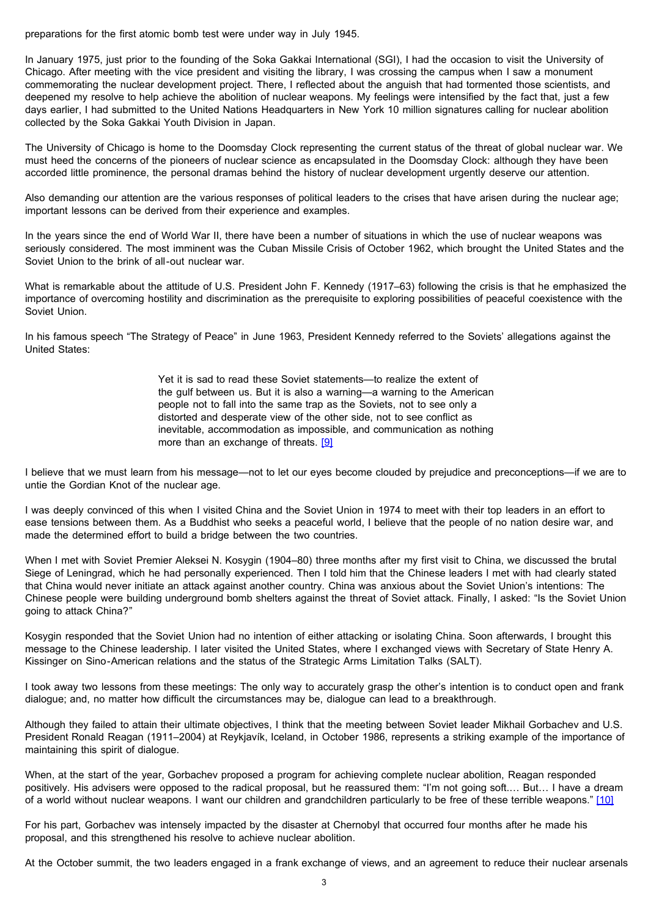preparations for the first atomic bomb test were under way in July 1945.

In January 1975, just prior to the founding of the Soka Gakkai International (SGI), I had the occasion to visit the University of Chicago. After meeting with the vice president and visiting the library, I was crossing the campus when I saw a monument commemorating the nuclear development project. There, I reflected about the anguish that had tormented those scientists, and deepened my resolve to help achieve the abolition of nuclear weapons. My feelings were intensified by the fact that, just a few days earlier, I had submitted to the United Nations Headquarters in New York 10 million signatures calling for nuclear abolition collected by the Soka Gakkai Youth Division in Japan.

The University of Chicago is home to the Doomsday Clock representing the current status of the threat of global nuclear war. We must heed the concerns of the pioneers of nuclear science as encapsulated in the Doomsday Clock: although they have been accorded little prominence, the personal dramas behind the history of nuclear development urgently deserve our attention.

Also demanding our attention are the various responses of political leaders to the crises that have arisen during the nuclear age; important lessons can be derived from their experience and examples.

In the years since the end of World War II, there have been a number of situations in which the use of nuclear weapons was seriously considered. The most imminent was the Cuban Missile Crisis of October 1962, which brought the United States and the Soviet Union to the brink of all-out nuclear war.

What is remarkable about the attitude of U.S. President John F. Kennedy (1917–63) following the crisis is that he emphasized the importance of overcoming hostility and discrimination as the prerequisite to exploring possibilities of peaceful coexistence with the Soviet Union.

In his famous speech "The Strategy of Peace" in June 1963, President Kennedy referred to the Soviets' allegations against the United States:

> Yet it is sad to read these Soviet statements—to realize the extent of the gulf between us. But it is also a warning—a warning to the American people not to fall into the same trap as the Soviets, not to see only a distorted and desperate view of the other side, not to see conflict as inevitable, accommodation as impossible, and communication as nothing more than an exchange of threats. [\[9\]](#page-14-0)

I believe that we must learn from his message—not to let our eyes become clouded by prejudice and preconceptions—if we are to untie the Gordian Knot of the nuclear age.

I was deeply convinced of this when I visited China and the Soviet Union in 1974 to meet with their top leaders in an effort to ease tensions between them. As a Buddhist who seeks a peaceful world, I believe that the people of no nation desire war, and made the determined effort to build a bridge between the two countries.

When I met with Soviet Premier Aleksei N. Kosygin (1904–80) three months after my first visit to China, we discussed the brutal Siege of Leningrad, which he had personally experienced. Then I told him that the Chinese leaders I met with had clearly stated that China would never initiate an attack against another country. China was anxious about the Soviet Union's intentions: The Chinese people were building underground bomb shelters against the threat of Soviet attack. Finally, I asked: "Is the Soviet Union going to attack China?"

Kosygin responded that the Soviet Union had no intention of either attacking or isolating China. Soon afterwards, I brought this message to the Chinese leadership. I later visited the United States, where I exchanged views with Secretary of State Henry A. Kissinger on Sino-American relations and the status of the Strategic Arms Limitation Talks (SALT).

I took away two lessons from these meetings: The only way to accurately grasp the other's intention is to conduct open and frank dialogue; and, no matter how difficult the circumstances may be, dialogue can lead to a breakthrough.

Although they failed to attain their ultimate objectives, I think that the meeting between Soviet leader Mikhail Gorbachev and U.S. President Ronald Reagan (1911–2004) at Reykjavík, Iceland, in October 1986, represents a striking example of the importance of maintaining this spirit of dialogue.

When, at the start of the year, Gorbachev proposed a program for achieving complete nuclear abolition, Reagan responded positively. His advisers were opposed to the radical proposal, but he reassured them: "I'm not going soft.… But… I have a dream of a world without nuclear weapons. I want our children and grandchildren particularly to be free of these terrible weapons." [\[10\]](#page-14-1)

For his part, Gorbachev was intensely impacted by the disaster at Chernobyl that occurred four months after he made his proposal, and this strengthened his resolve to achieve nuclear abolition.

At the October summit, the two leaders engaged in a frank exchange of views, and an agreement to reduce their nuclear arsenals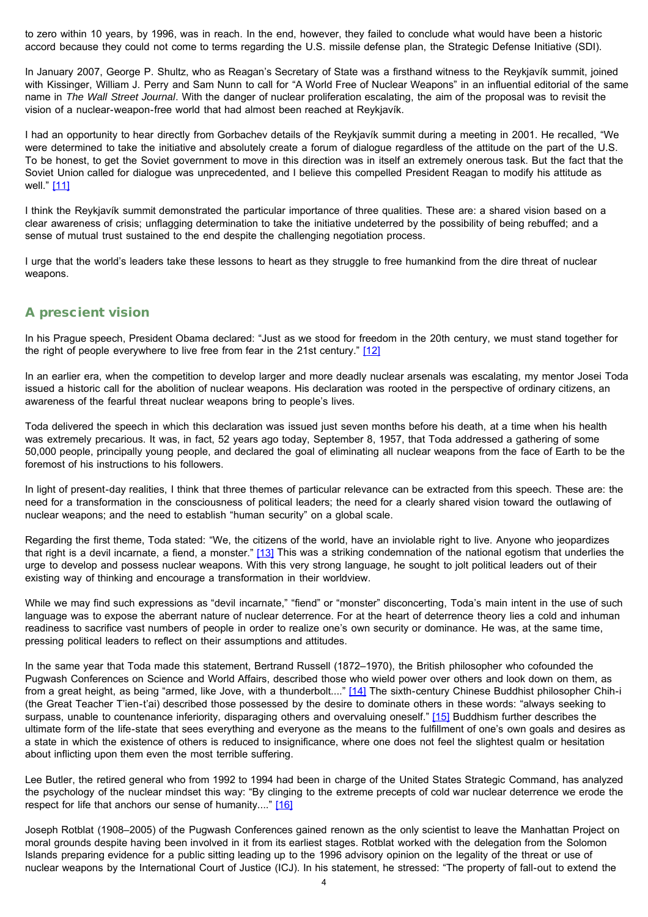to zero within 10 years, by 1996, was in reach. In the end, however, they failed to conclude what would have been a historic accord because they could not come to terms regarding the U.S. missile defense plan, the Strategic Defense Initiative (SDI).

In January 2007, George P. Shultz, who as Reagan's Secretary of State was a firsthand witness to the Reykjavík summit, joined with Kissinger, William J. Perry and Sam Nunn to call for "A World Free of Nuclear Weapons" in an influential editorial of the same name in *The Wall Street Journal*. With the danger of nuclear proliferation escalating, the aim of the proposal was to revisit the vision of a nuclear-weapon-free world that had almost been reached at Reykjavík.

I had an opportunity to hear directly from Gorbachev details of the Reykjavík summit during a meeting in 2001. He recalled, "We were determined to take the initiative and absolutely create a forum of dialogue regardless of the attitude on the part of the U.S. To be honest, to get the Soviet government to move in this direction was in itself an extremely onerous task. But the fact that the Soviet Union called for dialogue was unprecedented, and I believe this compelled President Reagan to modify his attitude as well." [\[11\]](#page-14-1)

I think the Reykjavík summit demonstrated the particular importance of three qualities. These are: a shared vision based on a clear awareness of crisis; unflagging determination to take the initiative undeterred by the possibility of being rebuffed; and a sense of mutual trust sustained to the end despite the challenging negotiation process.

I urge that the world's leaders take these lessons to heart as they struggle to free humankind from the dire threat of nuclear weapons.

## A prescient vision

In his Prague speech, President Obama declared: "Just as we stood for freedom in the 20th century, we must stand together for the right of people everywhere to live free from fear in the 21st century." [\[12\]](#page-14-1)

In an earlier era, when the competition to develop larger and more deadly nuclear arsenals was escalating, my mentor Josei Toda issued a historic call for the abolition of nuclear weapons. His declaration was rooted in the perspective of ordinary citizens, an awareness of the fearful threat nuclear weapons bring to people's lives.

Toda delivered the speech in which this declaration was issued just seven months before his death, at a time when his health was extremely precarious. It was, in fact, 52 years ago today, September 8, 1957, that Toda addressed a gathering of some 50,000 people, principally young people, and declared the goal of eliminating all nuclear weapons from the face of Earth to be the foremost of his instructions to his followers.

In light of present-day realities, I think that three themes of particular relevance can be extracted from this speech. These are: the need for a transformation in the consciousness of political leaders; the need for a clearly shared vision toward the outlawing of nuclear weapons; and the need to establish "human security" on a global scale.

Regarding the first theme, Toda stated: "We, the citizens of the world, have an inviolable right to live. Anyone who jeopardizes that right is a devil incarnate, a fiend, a monster." [\[13\]](#page-14-1) This was a striking condemnation of the national egotism that underlies the urge to develop and possess nuclear weapons. With this very strong language, he sought to jolt political leaders out of their existing way of thinking and encourage a transformation in their worldview.

While we may find such expressions as "devil incarnate." "fiend" or "monster" disconcerting, Toda's main intent in the use of such language was to expose the aberrant nature of nuclear deterrence. For at the heart of deterrence theory lies a cold and inhuman readiness to sacrifice vast numbers of people in order to realize one's own security or dominance. He was, at the same time, pressing political leaders to reflect on their assumptions and attitudes.

In the same year that Toda made this statement, Bertrand Russell (1872–1970), the British philosopher who cofounded the Pugwash Conferences on Science and World Affairs, described those who wield power over others and look down on them, as from a great height, as being "armed, like Jove, with a thunderbolt...." [\[14\]](#page-14-1) The sixth-century Chinese Buddhist philosopher Chih-i (the Great Teacher T'ien-t'ai) described those possessed by the desire to dominate others in these words: "always seeking to surpass, unable to countenance inferiority, disparaging others and overvaluing oneself." [\[15\]](#page-14-1) Buddhism further describes the ultimate form of the life-state that sees everything and everyone as the means to the fulfillment of one's own goals and desires as a state in which the existence of others is reduced to insignificance, where one does not feel the slightest qualm or hesitation about inflicting upon them even the most terrible suffering.

Lee Butler, the retired general who from 1992 to 1994 had been in charge of the United States Strategic Command, has analyzed the psychology of the nuclear mindset this way: "By clinging to the extreme precepts of cold war nuclear deterrence we erode the respect for life that anchors our sense of humanity...." [\[16\]](#page-14-1)

Joseph Rotblat (1908–2005) of the Pugwash Conferences gained renown as the only scientist to leave the Manhattan Project on moral grounds despite having been involved in it from its earliest stages. Rotblat worked with the delegation from the Solomon Islands preparing evidence for a public sitting leading up to the 1996 advisory opinion on the legality of the threat or use of nuclear weapons by the International Court of Justice (ICJ). In his statement, he stressed: "The property of fall-out to extend the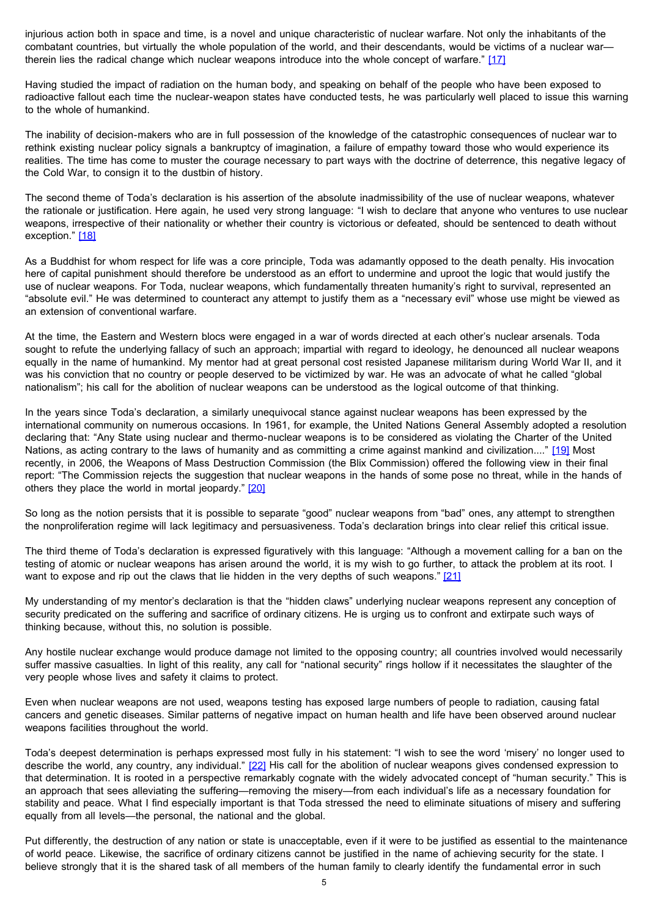injurious action both in space and time, is a novel and unique characteristic of nuclear warfare. Not only the inhabitants of the combatant countries, but virtually the whole population of the world, and their descendants, would be victims of a nuclear war therein lies the radical change which nuclear weapons introduce into the whole concept of warfare." [\[17\]](#page-14-1)

Having studied the impact of radiation on the human body, and speaking on behalf of the people who have been exposed to radioactive fallout each time the nuclear-weapon states have conducted tests, he was particularly well placed to issue this warning to the whole of humankind.

The inability of decision-makers who are in full possession of the knowledge of the catastrophic consequences of nuclear war to rethink existing nuclear policy signals a bankruptcy of imagination, a failure of empathy toward those who would experience its realities. The time has come to muster the courage necessary to part ways with the doctrine of deterrence, this negative legacy of the Cold War, to consign it to the dustbin of history.

The second theme of Toda's declaration is his assertion of the absolute inadmissibility of the use of nuclear weapons, whatever the rationale or justification. Here again, he used very strong language: "I wish to declare that anyone who ventures to use nuclear weapons, irrespective of their nationality or whether their country is victorious or defeated, should be sentenced to death without exception." [\[18\]](#page-14-1)

As a Buddhist for whom respect for life was a core principle, Toda was adamantly opposed to the death penalty. His invocation here of capital punishment should therefore be understood as an effort to undermine and uproot the logic that would justify the use of nuclear weapons. For Toda, nuclear weapons, which fundamentally threaten humanity's right to survival, represented an "absolute evil." He was determined to counteract any attempt to justify them as a "necessary evil" whose use might be viewed as an extension of conventional warfare.

At the time, the Eastern and Western blocs were engaged in a war of words directed at each other's nuclear arsenals. Toda sought to refute the underlying fallacy of such an approach; impartial with regard to ideology, he denounced all nuclear weapons equally in the name of humankind. My mentor had at great personal cost resisted Japanese militarism during World War II, and it was his conviction that no country or people deserved to be victimized by war. He was an advocate of what he called "global nationalism"; his call for the abolition of nuclear weapons can be understood as the logical outcome of that thinking.

In the years since Toda's declaration, a similarly unequivocal stance against nuclear weapons has been expressed by the international community on numerous occasions. In 1961, for example, the United Nations General Assembly adopted a resolution declaring that: "Any State using nuclear and thermo-nuclear weapons is to be considered as violating the Charter of the United Nations, as acting contrary to the laws of humanity and as committing a crime against mankind and civilization...." [\[19\]](#page-14-1) Most recently, in 2006, the Weapons of Mass Destruction Commission (the Blix Commission) offered the following view in their final report: "The Commission rejects the suggestion that nuclear weapons in the hands of some pose no threat, while in the hands of others they place the world in mortal jeopardy." [\[20\]](#page-14-2)

So long as the notion persists that it is possible to separate "good" nuclear weapons from "bad" ones, any attempt to strengthen the nonproliferation regime will lack legitimacy and persuasiveness. Toda's declaration brings into clear relief this critical issue.

The third theme of Toda's declaration is expressed figuratively with this language: "Although a movement calling for a ban on the testing of atomic or nuclear weapons has arisen around the world, it is my wish to go further, to attack the problem at its root. I want to expose and rip out the claws that lie hidden in the very depths of such weapons." [\[21\]](#page-14-2)

My understanding of my mentor's declaration is that the "hidden claws" underlying nuclear weapons represent any conception of security predicated on the suffering and sacrifice of ordinary citizens. He is urging us to confront and extirpate such ways of thinking because, without this, no solution is possible.

Any hostile nuclear exchange would produce damage not limited to the opposing country; all countries involved would necessarily suffer massive casualties. In light of this reality, any call for "national security" rings hollow if it necessitates the slaughter of the very people whose lives and safety it claims to protect.

Even when nuclear weapons are not used, weapons testing has exposed large numbers of people to radiation, causing fatal cancers and genetic diseases. Similar patterns of negative impact on human health and life have been observed around nuclear weapons facilities throughout the world.

Toda's deepest determination is perhaps expressed most fully in his statement: "I wish to see the word 'misery' no longer used to describe the world, any country, any individual." [\[22\]](#page-14-2) His call for the abolition of nuclear weapons gives condensed expression to that determination. It is rooted in a perspective remarkably cognate with the widely advocated concept of "human security." This is an approach that sees alleviating the suffering—removing the misery—from each individual's life as a necessary foundation for stability and peace. What I find especially important is that Toda stressed the need to eliminate situations of misery and suffering equally from all levels—the personal, the national and the global.

Put differently, the destruction of any nation or state is unacceptable, even if it were to be justified as essential to the maintenance of world peace. Likewise, the sacrifice of ordinary citizens cannot be justified in the name of achieving security for the state. I believe strongly that it is the shared task of all members of the human family to clearly identify the fundamental error in such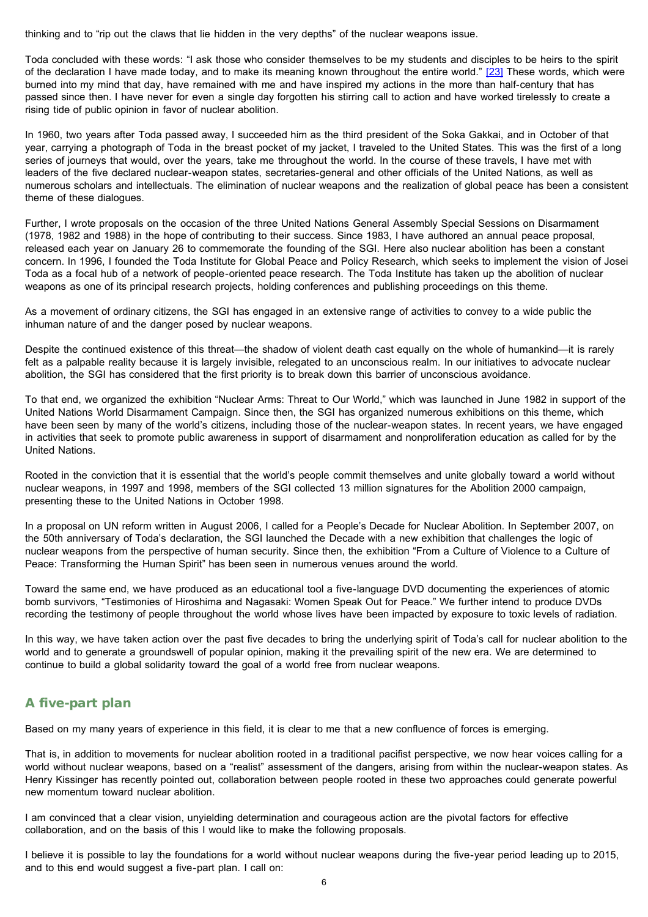thinking and to "rip out the claws that lie hidden in the very depths" of the nuclear weapons issue.

Toda concluded with these words: "I ask those who consider themselves to be my students and disciples to be heirs to the spirit of the declaration I have made today, and to make its meaning known throughout the entire world." [\[23\]](#page-14-2) These words, which were burned into my mind that day, have remained with me and have inspired my actions in the more than half-century that has passed since then. I have never for even a single day forgotten his stirring call to action and have worked tirelessly to create a rising tide of public opinion in favor of nuclear abolition.

In 1960, two years after Toda passed away, I succeeded him as the third president of the Soka Gakkai, and in October of that year, carrying a photograph of Toda in the breast pocket of my jacket, I traveled to the United States. This was the first of a long series of journeys that would, over the years, take me throughout the world. In the course of these travels, I have met with leaders of the five declared nuclear-weapon states, secretaries-general and other officials of the United Nations, as well as numerous scholars and intellectuals. The elimination of nuclear weapons and the realization of global peace has been a consistent theme of these dialogues.

Further, I wrote proposals on the occasion of the three United Nations General Assembly Special Sessions on Disarmament (1978, 1982 and 1988) in the hope of contributing to their success. Since 1983, I have authored an annual peace proposal, released each year on January 26 to commemorate the founding of the SGI. Here also nuclear abolition has been a constant concern. In 1996, I founded the Toda Institute for Global Peace and Policy Research, which seeks to implement the vision of Josei Toda as a focal hub of a network of people-oriented peace research. The Toda Institute has taken up the abolition of nuclear weapons as one of its principal research projects, holding conferences and publishing proceedings on this theme.

As a movement of ordinary citizens, the SGI has engaged in an extensive range of activities to convey to a wide public the inhuman nature of and the danger posed by nuclear weapons.

Despite the continued existence of this threat—the shadow of violent death cast equally on the whole of humankind—it is rarely felt as a palpable reality because it is largely invisible, relegated to an unconscious realm. In our initiatives to advocate nuclear abolition, the SGI has considered that the first priority is to break down this barrier of unconscious avoidance.

To that end, we organized the exhibition "Nuclear Arms: Threat to Our World," which was launched in June 1982 in support of the United Nations World Disarmament Campaign. Since then, the SGI has organized numerous exhibitions on this theme, which have been seen by many of the world's citizens, including those of the nuclear-weapon states. In recent years, we have engaged in activities that seek to promote public awareness in support of disarmament and nonproliferation education as called for by the United Nations.

Rooted in the conviction that it is essential that the world's people commit themselves and unite globally toward a world without nuclear weapons, in 1997 and 1998, members of the SGI collected 13 million signatures for the Abolition 2000 campaign, presenting these to the United Nations in October 1998.

In a proposal on UN reform written in August 2006, I called for a People's Decade for Nuclear Abolition. In September 2007, on the 50th anniversary of Toda's declaration, the SGI launched the Decade with a new exhibition that challenges the logic of nuclear weapons from the perspective of human security. Since then, the exhibition "From a Culture of Violence to a Culture of Peace: Transforming the Human Spirit" has been seen in numerous venues around the world.

Toward the same end, we have produced as an educational tool a five-language DVD documenting the experiences of atomic bomb survivors, "Testimonies of Hiroshima and Nagasaki: Women Speak Out for Peace." We further intend to produce DVDs recording the testimony of people throughout the world whose lives have been impacted by exposure to toxic levels of radiation.

In this way, we have taken action over the past five decades to bring the underlying spirit of Toda's call for nuclear abolition to the world and to generate a groundswell of popular opinion, making it the prevailing spirit of the new era. We are determined to continue to build a global solidarity toward the goal of a world free from nuclear weapons.

# A five-part plan

Based on my many years of experience in this field, it is clear to me that a new confluence of forces is emerging.

That is, in addition to movements for nuclear abolition rooted in a traditional pacifist perspective, we now hear voices calling for a world without nuclear weapons, based on a "realist" assessment of the dangers, arising from within the nuclear-weapon states. As Henry Kissinger has recently pointed out, collaboration between people rooted in these two approaches could generate powerful new momentum toward nuclear abolition.

I am convinced that a clear vision, unyielding determination and courageous action are the pivotal factors for effective collaboration, and on the basis of this I would like to make the following proposals.

I believe it is possible to lay the foundations for a world without nuclear weapons during the five-year period leading up to 2015, and to this end would suggest a five-part plan. I call on: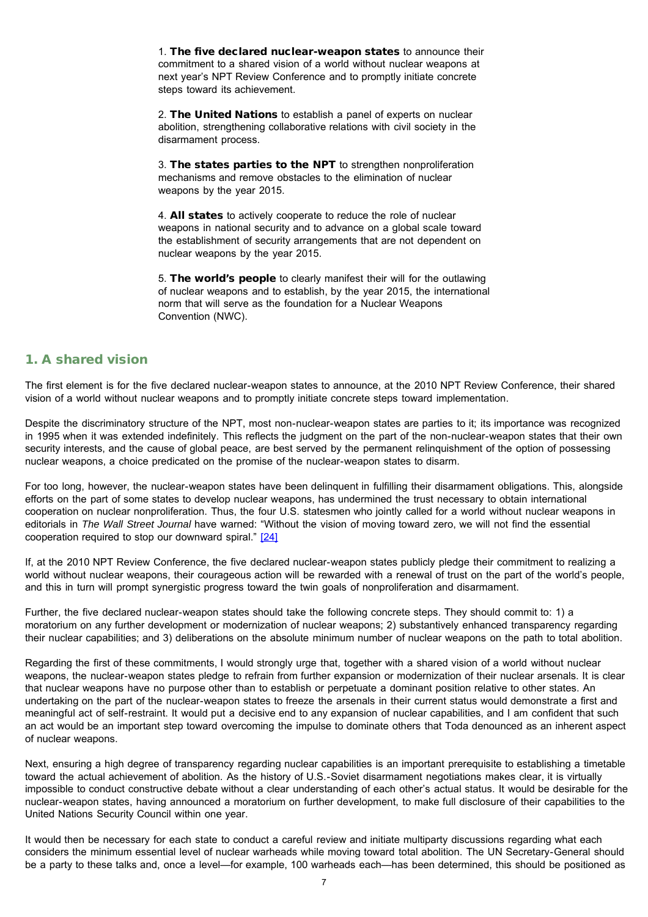1. The five declared nuclear-weapon states to announce their commitment to a shared vision of a world without nuclear weapons at next year's NPT Review Conference and to promptly initiate concrete steps toward its achievement.

2. The United Nations to establish a panel of experts on nuclear abolition, strengthening collaborative relations with civil society in the disarmament process.

3. The states parties to the NPT to strengthen nonproliferation mechanisms and remove obstacles to the elimination of nuclear weapons by the year 2015.

4. All states to actively cooperate to reduce the role of nuclear weapons in national security and to advance on a global scale toward the establishment of security arrangements that are not dependent on nuclear weapons by the year 2015.

5. The world's people to clearly manifest their will for the outlawing of nuclear weapons and to establish, by the year 2015, the international norm that will serve as the foundation for a Nuclear Weapons Convention (NWC).

## 1. A shared vision

The first element is for the five declared nuclear-weapon states to announce, at the 2010 NPT Review Conference, their shared vision of a world without nuclear weapons and to promptly initiate concrete steps toward implementation.

Despite the discriminatory structure of the NPT, most non-nuclear-weapon states are parties to it; its importance was recognized in 1995 when it was extended indefinitely. This reflects the judgment on the part of the non-nuclear-weapon states that their own security interests, and the cause of global peace, are best served by the permanent relinquishment of the option of possessing nuclear weapons, a choice predicated on the promise of the nuclear-weapon states to disarm.

For too long, however, the nuclear-weapon states have been delinquent in fulfilling their disarmament obligations. This, alongside efforts on the part of some states to develop nuclear weapons, has undermined the trust necessary to obtain international cooperation on nuclear nonproliferation. Thus, the four U.S. statesmen who jointly called for a world without nuclear weapons in editorials in *The Wall Street Journal* have warned: "Without the vision of moving toward zero, we will not find the essential cooperation required to stop our downward spiral." [\[24\]](#page-14-2)

If, at the 2010 NPT Review Conference, the five declared nuclear-weapon states publicly pledge their commitment to realizing a world without nuclear weapons, their courageous action will be rewarded with a renewal of trust on the part of the world's people, and this in turn will prompt synergistic progress toward the twin goals of nonproliferation and disarmament.

Further, the five declared nuclear-weapon states should take the following concrete steps. They should commit to: 1) a moratorium on any further development or modernization of nuclear weapons; 2) substantively enhanced transparency regarding their nuclear capabilities; and 3) deliberations on the absolute minimum number of nuclear weapons on the path to total abolition.

Regarding the first of these commitments, I would strongly urge that, together with a shared vision of a world without nuclear weapons, the nuclear-weapon states pledge to refrain from further expansion or modernization of their nuclear arsenals. It is clear that nuclear weapons have no purpose other than to establish or perpetuate a dominant position relative to other states. An undertaking on the part of the nuclear-weapon states to freeze the arsenals in their current status would demonstrate a first and meaningful act of self-restraint. It would put a decisive end to any expansion of nuclear capabilities, and I am confident that such an act would be an important step toward overcoming the impulse to dominate others that Toda denounced as an inherent aspect of nuclear weapons.

Next, ensuring a high degree of transparency regarding nuclear capabilities is an important prerequisite to establishing a timetable toward the actual achievement of abolition. As the history of U.S.-Soviet disarmament negotiations makes clear, it is virtually impossible to conduct constructive debate without a clear understanding of each other's actual status. It would be desirable for the nuclear-weapon states, having announced a moratorium on further development, to make full disclosure of their capabilities to the United Nations Security Council within one year.

It would then be necessary for each state to conduct a careful review and initiate multiparty discussions regarding what each considers the minimum essential level of nuclear warheads while moving toward total abolition. The UN Secretary-General should be a party to these talks and, once a level—for example, 100 warheads each—has been determined, this should be positioned as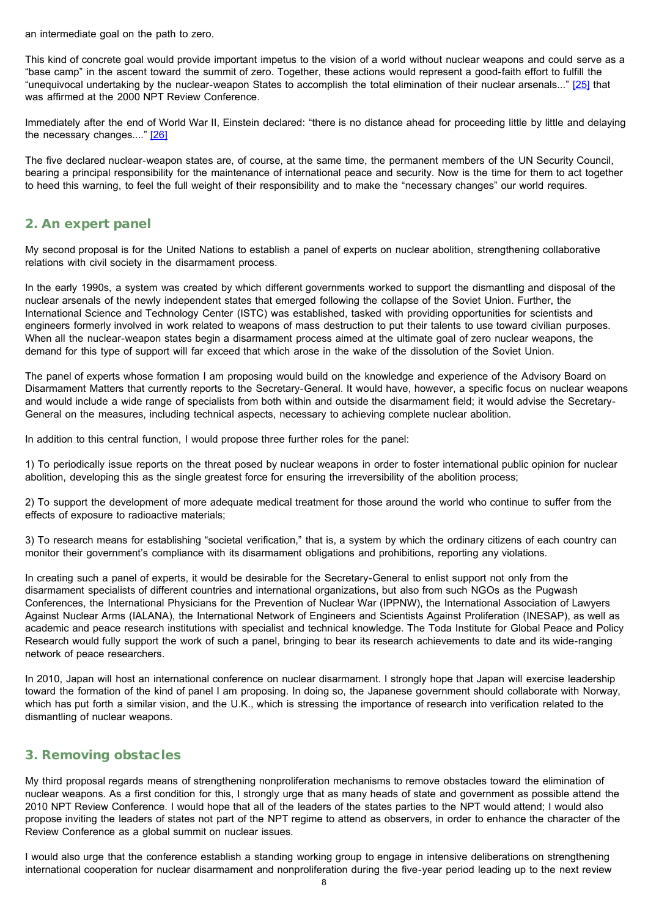an intermediate goal on the path to zero.

This kind of concrete goal would provide important impetus to the vision of a world without nuclear weapons and could serve as a "base camp" in the ascent toward the summit of zero. Together, these actions would represent a good-faith effort to fulfill the "unequivocal undertaking by the nuclear-weapon States to accomplish the total elimination of their nuclear arsenals..." [\[25\]](#page-14-2) that was affirmed at the 2000 NPT Review Conference.

Immediately after the end of World War II, Einstein declared: "there is no distance ahead for proceeding little by little and delaying the necessary changes...." [\[26\]](#page-14-2)

The five declared nuclear-weapon states are, of course, at the same time, the permanent members of the UN Security Council, bearing a principal responsibility for the maintenance of international peace and security. Now is the time for them to act together to heed this warning, to feel the full weight of their responsibility and to make the "necessary changes" our world requires.

## 2. An expert panel

My second proposal is for the United Nations to establish a panel of experts on nuclear abolition, strengthening collaborative relations with civil society in the disarmament process.

In the early 1990s, a system was created by which different governments worked to support the dismantling and disposal of the nuclear arsenals of the newly independent states that emerged following the collapse of the Soviet Union. Further, the International Science and Technology Center (ISTC) was established, tasked with providing opportunities for scientists and engineers formerly involved in work related to weapons of mass destruction to put their talents to use toward civilian purposes. When all the nuclear-weapon states begin a disarmament process aimed at the ultimate goal of zero nuclear weapons, the demand for this type of support will far exceed that which arose in the wake of the dissolution of the Soviet Union.

The panel of experts whose formation I am proposing would build on the knowledge and experience of the Advisory Board on Disarmament Matters that currently reports to the Secretary-General. It would have, however, a specific focus on nuclear weapons and would include a wide range of specialists from both within and outside the disarmament field; it would advise the Secretary-General on the measures, including technical aspects, necessary to achieving complete nuclear abolition.

In addition to this central function, I would propose three further roles for the panel:

1) To periodically issue reports on the threat posed by nuclear weapons in order to foster international public opinion for nuclear abolition, developing this as the single greatest force for ensuring the irreversibility of the abolition process;

2) To support the development of more adequate medical treatment for those around the world who continue to suffer from the effects of exposure to radioactive materials;

3) To research means for establishing "societal verification," that is, a system by which the ordinary citizens of each country can monitor their government's compliance with its disarmament obligations and prohibitions, reporting any violations.

In creating such a panel of experts, it would be desirable for the Secretary-General to enlist support not only from the disarmament specialists of different countries and international organizations, but also from such NGOs as the Pugwash Conferences, the International Physicians for the Prevention of Nuclear War (IPPNW), the International Association of Lawyers Against Nuclear Arms (IALANA), the International Network of Engineers and Scientists Against Proliferation (INESAP), as well as academic and peace research institutions with specialist and technical knowledge. The Toda Institute for Global Peace and Policy Research would fully support the work of such a panel, bringing to bear its research achievements to date and its wide-ranging network of peace researchers.

In 2010, Japan will host an international conference on nuclear disarmament. I strongly hope that Japan will exercise leadership toward the formation of the kind of panel I am proposing. In doing so, the Japanese government should collaborate with Norway, which has put forth a similar vision, and the U.K., which is stressing the importance of research into verification related to the dismantling of nuclear weapons.

# 3. Removing obstacles

My third proposal regards means of strengthening nonproliferation mechanisms to remove obstacles toward the elimination of nuclear weapons. As a first condition for this, I strongly urge that as many heads of state and government as possible attend the 2010 NPT Review Conference. I would hope that all of the leaders of the states parties to the NPT would attend; I would also propose inviting the leaders of states not part of the NPT regime to attend as observers, in order to enhance the character of the Review Conference as a global summit on nuclear issues.

I would also urge that the conference establish a standing working group to engage in intensive deliberations on strengthening international cooperation for nuclear disarmament and nonproliferation during the five-year period leading up to the next review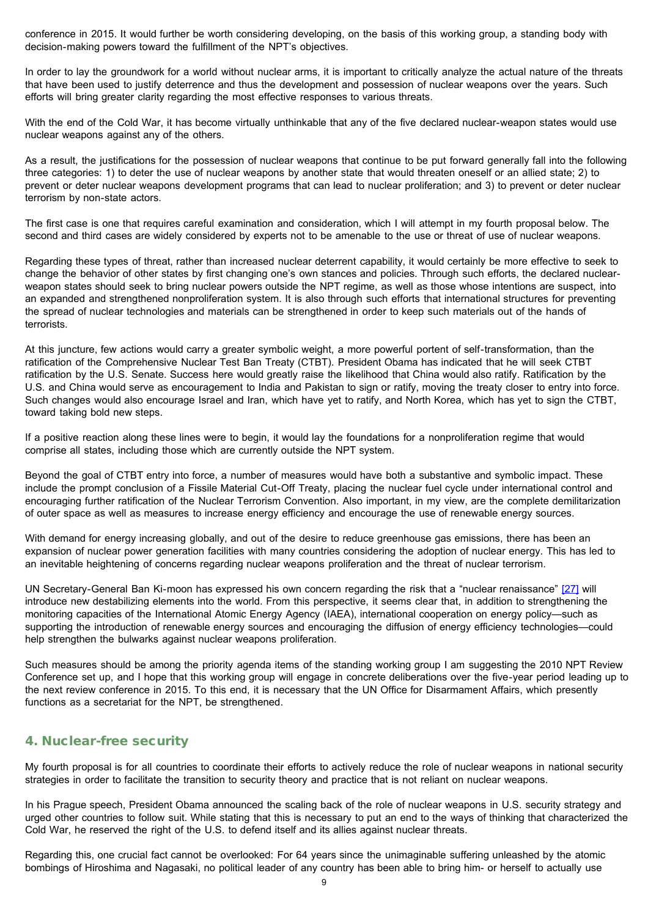conference in 2015. It would further be worth considering developing, on the basis of this working group, a standing body with decision-making powers toward the fulfillment of the NPT's objectives.

In order to lay the groundwork for a world without nuclear arms, it is important to critically analyze the actual nature of the threats that have been used to justify deterrence and thus the development and possession of nuclear weapons over the years. Such efforts will bring greater clarity regarding the most effective responses to various threats.

With the end of the Cold War, it has become virtually unthinkable that any of the five declared nuclear-weapon states would use nuclear weapons against any of the others.

As a result, the justifications for the possession of nuclear weapons that continue to be put forward generally fall into the following three categories: 1) to deter the use of nuclear weapons by another state that would threaten oneself or an allied state; 2) to prevent or deter nuclear weapons development programs that can lead to nuclear proliferation; and 3) to prevent or deter nuclear terrorism by non-state actors.

The first case is one that requires careful examination and consideration, which I will attempt in my fourth proposal below. The second and third cases are widely considered by experts not to be amenable to the use or threat of use of nuclear weapons.

Regarding these types of threat, rather than increased nuclear deterrent capability, it would certainly be more effective to seek to change the behavior of other states by first changing one's own stances and policies. Through such efforts, the declared nuclearweapon states should seek to bring nuclear powers outside the NPT regime, as well as those whose intentions are suspect, into an expanded and strengthened nonproliferation system. It is also through such efforts that international structures for preventing the spread of nuclear technologies and materials can be strengthened in order to keep such materials out of the hands of terrorists.

At this juncture, few actions would carry a greater symbolic weight, a more powerful portent of self-transformation, than the ratification of the Comprehensive Nuclear Test Ban Treaty (CTBT). President Obama has indicated that he will seek CTBT ratification by the U.S. Senate. Success here would greatly raise the likelihood that China would also ratify. Ratification by the U.S. and China would serve as encouragement to India and Pakistan to sign or ratify, moving the treaty closer to entry into force. Such changes would also encourage Israel and Iran, which have yet to ratify, and North Korea, which has yet to sign the CTBT, toward taking bold new steps.

If a positive reaction along these lines were to begin, it would lay the foundations for a nonproliferation regime that would comprise all states, including those which are currently outside the NPT system.

Beyond the goal of CTBT entry into force, a number of measures would have both a substantive and symbolic impact. These include the prompt conclusion of a Fissile Material Cut-Off Treaty, placing the nuclear fuel cycle under international control and encouraging further ratification of the Nuclear Terrorism Convention. Also important, in my view, are the complete demilitarization of outer space as well as measures to increase energy efficiency and encourage the use of renewable energy sources.

With demand for energy increasing globally, and out of the desire to reduce greenhouse gas emissions, there has been an expansion of nuclear power generation facilities with many countries considering the adoption of nuclear energy. This has led to an inevitable heightening of concerns regarding nuclear weapons proliferation and the threat of nuclear terrorism.

UN Secretary-General Ban Ki-moon has expressed his own concern regarding the risk that a "nuclear renaissance" [\[27\]](#page-14-2) will introduce new destabilizing elements into the world. From this perspective, it seems clear that, in addition to strengthening the monitoring capacities of the International Atomic Energy Agency (IAEA), international cooperation on energy policy—such as supporting the introduction of renewable energy sources and encouraging the diffusion of energy efficiency technologies—could help strengthen the bulwarks against nuclear weapons proliferation.

Such measures should be among the priority agenda items of the standing working group I am suggesting the 2010 NPT Review Conference set up, and I hope that this working group will engage in concrete deliberations over the five-year period leading up to the next review conference in 2015. To this end, it is necessary that the UN Office for Disarmament Affairs, which presently functions as a secretariat for the NPT, be strengthened.

#### 4. Nuclear-free security

My fourth proposal is for all countries to coordinate their efforts to actively reduce the role of nuclear weapons in national security strategies in order to facilitate the transition to security theory and practice that is not reliant on nuclear weapons.

In his Prague speech, President Obama announced the scaling back of the role of nuclear weapons in U.S. security strategy and urged other countries to follow suit. While stating that this is necessary to put an end to the ways of thinking that characterized the Cold War, he reserved the right of the U.S. to defend itself and its allies against nuclear threats.

Regarding this, one crucial fact cannot be overlooked: For 64 years since the unimaginable suffering unleashed by the atomic bombings of Hiroshima and Nagasaki, no political leader of any country has been able to bring him- or herself to actually use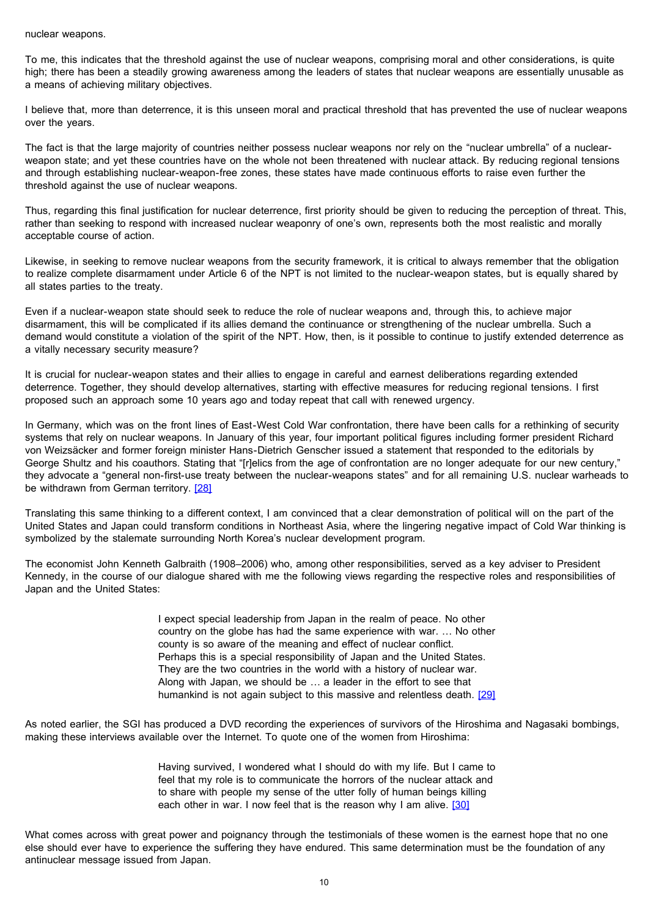To me, this indicates that the threshold against the use of nuclear weapons, comprising moral and other considerations, is quite high; there has been a steadily growing awareness among the leaders of states that nuclear weapons are essentially unusable as a means of achieving military objectives.

I believe that, more than deterrence, it is this unseen moral and practical threshold that has prevented the use of nuclear weapons over the years.

The fact is that the large majority of countries neither possess nuclear weapons nor rely on the "nuclear umbrella" of a nuclearweapon state; and yet these countries have on the whole not been threatened with nuclear attack. By reducing regional tensions and through establishing nuclear-weapon-free zones, these states have made continuous efforts to raise even further the threshold against the use of nuclear weapons.

Thus, regarding this final justification for nuclear deterrence, first priority should be given to reducing the perception of threat. This, rather than seeking to respond with increased nuclear weaponry of one's own, represents both the most realistic and morally acceptable course of action.

Likewise, in seeking to remove nuclear weapons from the security framework, it is critical to always remember that the obligation to realize complete disarmament under Article 6 of the NPT is not limited to the nuclear-weapon states, but is equally shared by all states parties to the treaty.

Even if a nuclear-weapon state should seek to reduce the role of nuclear weapons and, through this, to achieve major disarmament, this will be complicated if its allies demand the continuance or strengthening of the nuclear umbrella. Such a demand would constitute a violation of the spirit of the NPT. How, then, is it possible to continue to justify extended deterrence as a vitally necessary security measure?

It is crucial for nuclear-weapon states and their allies to engage in careful and earnest deliberations regarding extended deterrence. Together, they should develop alternatives, starting with effective measures for reducing regional tensions. I first proposed such an approach some 10 years ago and today repeat that call with renewed urgency.

In Germany, which was on the front lines of East-West Cold War confrontation, there have been calls for a rethinking of security systems that rely on nuclear weapons. In January of this year, four important political figures including former president Richard von Weizsäcker and former foreign minister Hans-Dietrich Genscher issued a statement that responded to the editorials by George Shultz and his coauthors. Stating that "[r]elics from the age of confrontation are no longer adequate for our new century," they advocate a "general non-first-use treaty between the nuclear-weapons states" and for all remaining U.S. nuclear warheads to be withdrawn from German territory. [\[28\]](#page-14-2)

Translating this same thinking to a different context, I am convinced that a clear demonstration of political will on the part of the United States and Japan could transform conditions in Northeast Asia, where the lingering negative impact of Cold War thinking is symbolized by the stalemate surrounding North Korea's nuclear development program.

The economist John Kenneth Galbraith (1908–2006) who, among other responsibilities, served as a key adviser to President Kennedy, in the course of our dialogue shared with me the following views regarding the respective roles and responsibilities of Japan and the United States:

> I expect special leadership from Japan in the realm of peace. No other country on the globe has had the same experience with war. … No other county is so aware of the meaning and effect of nuclear conflict. Perhaps this is a special responsibility of Japan and the United States. They are the two countries in the world with a history of nuclear war. Along with Japan, we should be … a leader in the effort to see that humankind is not again subject to this massive and relentless death. [\[29\]](#page-14-2)

As noted earlier, the SGI has produced a DVD recording the experiences of survivors of the Hiroshima and Nagasaki bombings, making these interviews available over the Internet. To quote one of the women from Hiroshima:

> Having survived, I wondered what I should do with my life. But I came to feel that my role is to communicate the horrors of the nuclear attack and to share with people my sense of the utter folly of human beings killing each other in war. I now feel that is the reason why I am alive. [\[30\]](#page-14-3)

What comes across with great power and poignancy through the testimonials of these women is the earnest hope that no one else should ever have to experience the suffering they have endured. This same determination must be the foundation of any antinuclear message issued from Japan.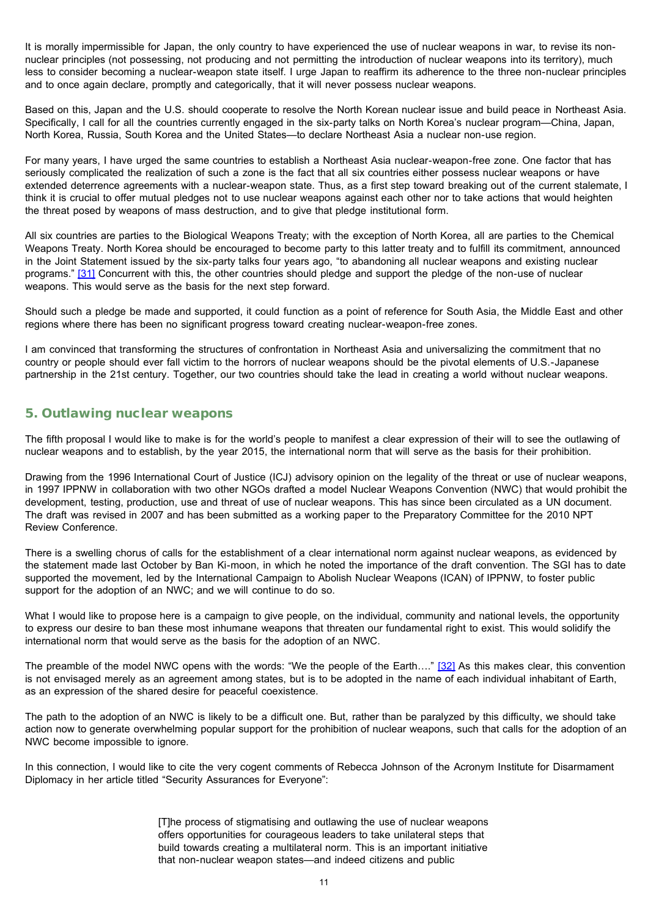It is morally impermissible for Japan, the only country to have experienced the use of nuclear weapons in war, to revise its nonnuclear principles (not possessing, not producing and not permitting the introduction of nuclear weapons into its territory), much less to consider becoming a nuclear-weapon state itself. I urge Japan to reaffirm its adherence to the three non-nuclear principles and to once again declare, promptly and categorically, that it will never possess nuclear weapons.

Based on this, Japan and the U.S. should cooperate to resolve the North Korean nuclear issue and build peace in Northeast Asia. Specifically, I call for all the countries currently engaged in the six-party talks on North Korea's nuclear program—China, Japan, North Korea, Russia, South Korea and the United States—to declare Northeast Asia a nuclear non-use region.

For many years, I have urged the same countries to establish a Northeast Asia nuclear-weapon-free zone. One factor that has seriously complicated the realization of such a zone is the fact that all six countries either possess nuclear weapons or have extended deterrence agreements with a nuclear-weapon state. Thus, as a first step toward breaking out of the current stalemate, I think it is crucial to offer mutual pledges not to use nuclear weapons against each other nor to take actions that would heighten the threat posed by weapons of mass destruction, and to give that pledge institutional form.

All six countries are parties to the Biological Weapons Treaty; with the exception of North Korea, all are parties to the Chemical Weapons Treaty. North Korea should be encouraged to become party to this latter treaty and to fulfill its commitment, announced in the Joint Statement issued by the six-party talks four years ago, "to abandoning all nuclear weapons and existing nuclear programs." [\[31\]](#page-14-3) Concurrent with this, the other countries should pledge and support the pledge of the non-use of nuclear weapons. This would serve as the basis for the next step forward.

Should such a pledge be made and supported, it could function as a point of reference for South Asia, the Middle East and other regions where there has been no significant progress toward creating nuclear-weapon-free zones.

I am convinced that transforming the structures of confrontation in Northeast Asia and universalizing the commitment that no country or people should ever fall victim to the horrors of nuclear weapons should be the pivotal elements of U.S.-Japanese partnership in the 21st century. Together, our two countries should take the lead in creating a world without nuclear weapons.

## 5. Outlawing nuclear weapons

The fifth proposal I would like to make is for the world's people to manifest a clear expression of their will to see the outlawing of nuclear weapons and to establish, by the year 2015, the international norm that will serve as the basis for their prohibition.

Drawing from the 1996 International Court of Justice (ICJ) advisory opinion on the legality of the threat or use of nuclear weapons, in 1997 IPPNW in collaboration with two other NGOs drafted a model Nuclear Weapons Convention (NWC) that would prohibit the development, testing, production, use and threat of use of nuclear weapons. This has since been circulated as a UN document. The draft was revised in 2007 and has been submitted as a working paper to the Preparatory Committee for the 2010 NPT Review Conference.

There is a swelling chorus of calls for the establishment of a clear international norm against nuclear weapons, as evidenced by the statement made last October by Ban Ki-moon, in which he noted the importance of the draft convention. The SGI has to date supported the movement, led by the International Campaign to Abolish Nuclear Weapons (ICAN) of IPPNW, to foster public support for the adoption of an NWC; and we will continue to do so.

What I would like to propose here is a campaign to give people, on the individual, community and national levels, the opportunity to express our desire to ban these most inhumane weapons that threaten our fundamental right to exist. This would solidify the international norm that would serve as the basis for the adoption of an NWC.

The preamble of the model NWC opens with the words: "We the people of the Earth...." [\[32\]](#page-14-3) As this makes clear, this convention is not envisaged merely as an agreement among states, but is to be adopted in the name of each individual inhabitant of Earth, as an expression of the shared desire for peaceful coexistence.

The path to the adoption of an NWC is likely to be a difficult one. But, rather than be paralyzed by this difficulty, we should take action now to generate overwhelming popular support for the prohibition of nuclear weapons, such that calls for the adoption of an NWC become impossible to ignore.

In this connection, I would like to cite the very cogent comments of Rebecca Johnson of the Acronym Institute for Disarmament Diplomacy in her article titled "Security Assurances for Everyone":

> [T]he process of stigmatising and outlawing the use of nuclear weapons offers opportunities for courageous leaders to take unilateral steps that build towards creating a multilateral norm. This is an important initiative that non-nuclear weapon states—and indeed citizens and public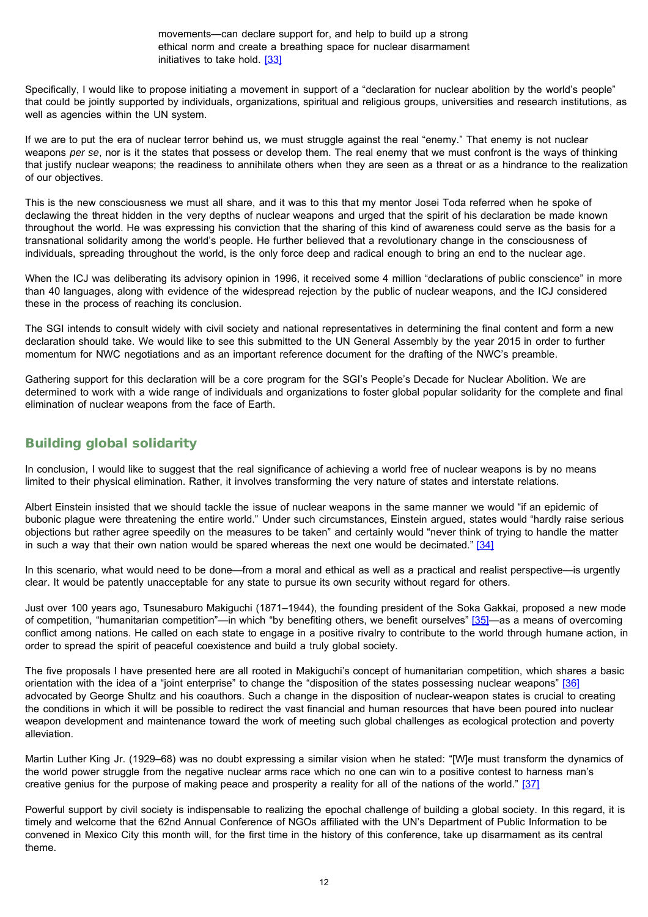movements—can declare support for, and help to build up a strong ethical norm and create a breathing space for nuclear disarmament initiatives to take hold. [\[33\]](#page-14-3)

Specifically, I would like to propose initiating a movement in support of a "declaration for nuclear abolition by the world's people" that could be jointly supported by individuals, organizations, spiritual and religious groups, universities and research institutions, as well as agencies within the UN system.

If we are to put the era of nuclear terror behind us, we must struggle against the real "enemy." That enemy is not nuclear weapons *per se*, nor is it the states that possess or develop them. The real enemy that we must confront is the ways of thinking that justify nuclear weapons; the readiness to annihilate others when they are seen as a threat or as a hindrance to the realization of our objectives.

This is the new consciousness we must all share, and it was to this that my mentor Josei Toda referred when he spoke of declawing the threat hidden in the very depths of nuclear weapons and urged that the spirit of his declaration be made known throughout the world. He was expressing his conviction that the sharing of this kind of awareness could serve as the basis for a transnational solidarity among the world's people. He further believed that a revolutionary change in the consciousness of individuals, spreading throughout the world, is the only force deep and radical enough to bring an end to the nuclear age.

When the ICJ was deliberating its advisory opinion in 1996, it received some 4 million "declarations of public conscience" in more than 40 languages, along with evidence of the widespread rejection by the public of nuclear weapons, and the ICJ considered these in the process of reaching its conclusion.

The SGI intends to consult widely with civil society and national representatives in determining the final content and form a new declaration should take. We would like to see this submitted to the UN General Assembly by the year 2015 in order to further momentum for NWC negotiations and as an important reference document for the drafting of the NWC's preamble.

Gathering support for this declaration will be a core program for the SGI's People's Decade for Nuclear Abolition. We are determined to work with a wide range of individuals and organizations to foster global popular solidarity for the complete and final elimination of nuclear weapons from the face of Earth.

# Building global solidarity

In conclusion, I would like to suggest that the real significance of achieving a world free of nuclear weapons is by no means limited to their physical elimination. Rather, it involves transforming the very nature of states and interstate relations.

Albert Einstein insisted that we should tackle the issue of nuclear weapons in the same manner we would "if an epidemic of bubonic plague were threatening the entire world." Under such circumstances, Einstein argued, states would "hardly raise serious objections but rather agree speedily on the measures to be taken" and certainly would "never think of trying to handle the matter in such a way that their own nation would be spared whereas the next one would be decimated." [\[34\]](#page-14-3)

In this scenario, what would need to be done—from a moral and ethical as well as a practical and realist perspective—is urgently clear. It would be patently unacceptable for any state to pursue its own security without regard for others.

Just over 100 years ago, Tsunesaburo Makiguchi (1871–1944), the founding president of the Soka Gakkai, proposed a new mode of competition, "humanitarian competition"—in which "by benefiting others, we benefit ourselves" [\[35\]](#page-14-3)—as a means of overcoming conflict among nations. He called on each state to engage in a positive rivalry to contribute to the world through humane action, in order to spread the spirit of peaceful coexistence and build a truly global society.

The five proposals I have presented here are all rooted in Makiguchi's concept of humanitarian competition, which shares a basic orientation with the idea of a "joint enterprise" to change the "disposition of the states possessing nuclear weapons" [\[36\]](#page-14-3) advocated by George Shultz and his coauthors. Such a change in the disposition of nuclear-weapon states is crucial to creating the conditions in which it will be possible to redirect the vast financial and human resources that have been poured into nuclear weapon development and maintenance toward the work of meeting such global challenges as ecological protection and poverty alleviation.

Martin Luther King Jr. (1929–68) was no doubt expressing a similar vision when he stated: "[W]e must transform the dynamics of the world power struggle from the negative nuclear arms race which no one can win to a positive contest to harness man's creative genius for the purpose of making peace and prosperity a reality for all of the nations of the world." [\[37\]](#page-14-3)

Powerful support by civil society is indispensable to realizing the epochal challenge of building a global society. In this regard, it is timely and welcome that the 62nd Annual Conference of NGOs affiliated with the UN's Department of Public Information to be convened in Mexico City this month will, for the first time in the history of this conference, take up disarmament as its central theme.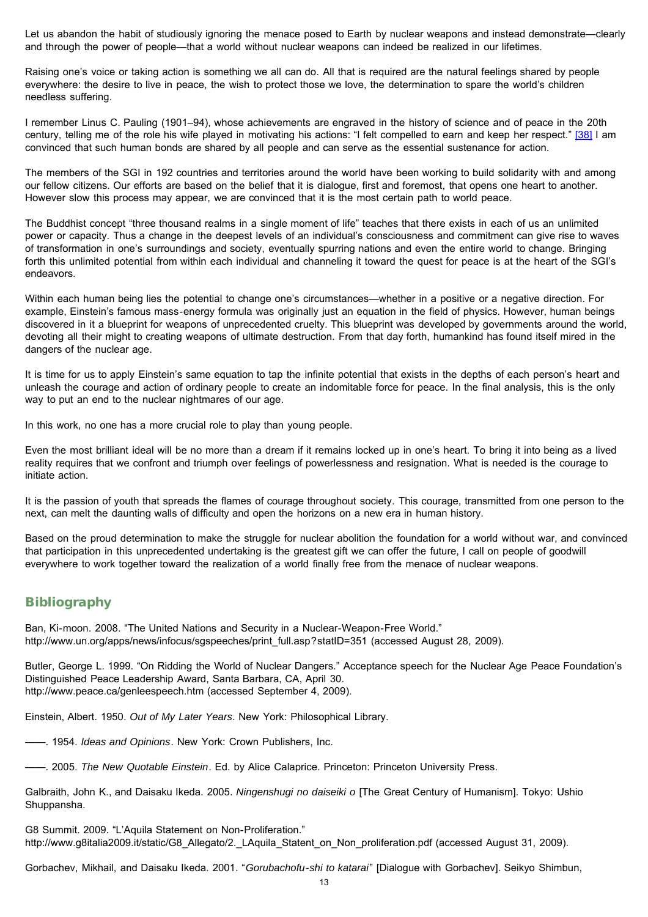Let us abandon the habit of studiously ignoring the menace posed to Earth by nuclear weapons and instead demonstrate—clearly and through the power of people—that a world without nuclear weapons can indeed be realized in our lifetimes.

Raising one's voice or taking action is something we all can do. All that is required are the natural feelings shared by people everywhere: the desire to live in peace, the wish to protect those we love, the determination to spare the world's children needless suffering.

I remember Linus C. Pauling (1901–94), whose achievements are engraved in the history of science and of peace in the 20th century, telling me of the role his wife played in motivating his actions: "I felt compelled to earn and keep her respect." [\[38\]](#page-14-3) I am convinced that such human bonds are shared by all people and can serve as the essential sustenance for action.

The members of the SGI in 192 countries and territories around the world have been working to build solidarity with and among our fellow citizens. Our efforts are based on the belief that it is dialogue, first and foremost, that opens one heart to another. However slow this process may appear, we are convinced that it is the most certain path to world peace.

The Buddhist concept "three thousand realms in a single moment of life" teaches that there exists in each of us an unlimited power or capacity. Thus a change in the deepest levels of an individual's consciousness and commitment can give rise to waves of transformation in one's surroundings and society, eventually spurring nations and even the entire world to change. Bringing forth this unlimited potential from within each individual and channeling it toward the quest for peace is at the heart of the SGI's endeavors.

Within each human being lies the potential to change one's circumstances—whether in a positive or a negative direction. For example, Einstein's famous mass-energy formula was originally just an equation in the field of physics. However, human beings discovered in it a blueprint for weapons of unprecedented cruelty. This blueprint was developed by governments around the world, devoting all their might to creating weapons of ultimate destruction. From that day forth, humankind has found itself mired in the dangers of the nuclear age.

It is time for us to apply Einstein's same equation to tap the infinite potential that exists in the depths of each person's heart and unleash the courage and action of ordinary people to create an indomitable force for peace. In the final analysis, this is the only way to put an end to the nuclear nightmares of our age.

In this work, no one has a more crucial role to play than young people.

Even the most brilliant ideal will be no more than a dream if it remains locked up in one's heart. To bring it into being as a lived reality requires that we confront and triumph over feelings of powerlessness and resignation. What is needed is the courage to initiate action.

It is the passion of youth that spreads the flames of courage throughout society. This courage, transmitted from one person to the next, can melt the daunting walls of difficulty and open the horizons on a new era in human history.

Based on the proud determination to make the struggle for nuclear abolition the foundation for a world without war, and convinced that participation in this unprecedented undertaking is the greatest gift we can offer the future, I call on people of goodwill everywhere to work together toward the realization of a world finally free from the menace of nuclear weapons.

# **Bibliography**

Ban, Ki-moon. 2008. "The United Nations and Security in a Nuclear-Weapon-Free World." http://www.un.org/apps/news/infocus/sgspeeches/print\_full.asp?statID=351 (accessed August 28, 2009).

Butler, George L. 1999. "On Ridding the World of Nuclear Dangers." Acceptance speech for the Nuclear Age Peace Foundation's Distinguished Peace Leadership Award, Santa Barbara, CA, April 30. http://www.peace.ca/genleespeech.htm (accessed September 4, 2009).

Einstein, Albert. 1950. *Out of My Later Years*. New York: Philosophical Library.

——. 1954. *Ideas and Opinions*. New York: Crown Publishers, Inc.

——. 2005. *The New Quotable Einstein*. Ed. by Alice Calaprice. Princeton: Princeton University Press.

Galbraith, John K., and Daisaku Ikeda. 2005. *Ningenshugi no daiseiki o* [The Great Century of Humanism]. Tokyo: Ushio Shuppansha.

G8 Summit. 2009. "L'Aquila Statement on Non-Proliferation." http://www.q8italia2009.it/static/G8\_Allegato/2. LAquila\_Statent\_on\_Non\_proliferation.pdf (accessed August 31, 2009).

Gorbachev, Mikhail, and Daisaku Ikeda. 2001. "*Gorubachofu-shi to katarai*" [Dialogue with Gorbachev]. Seikyo Shimbun,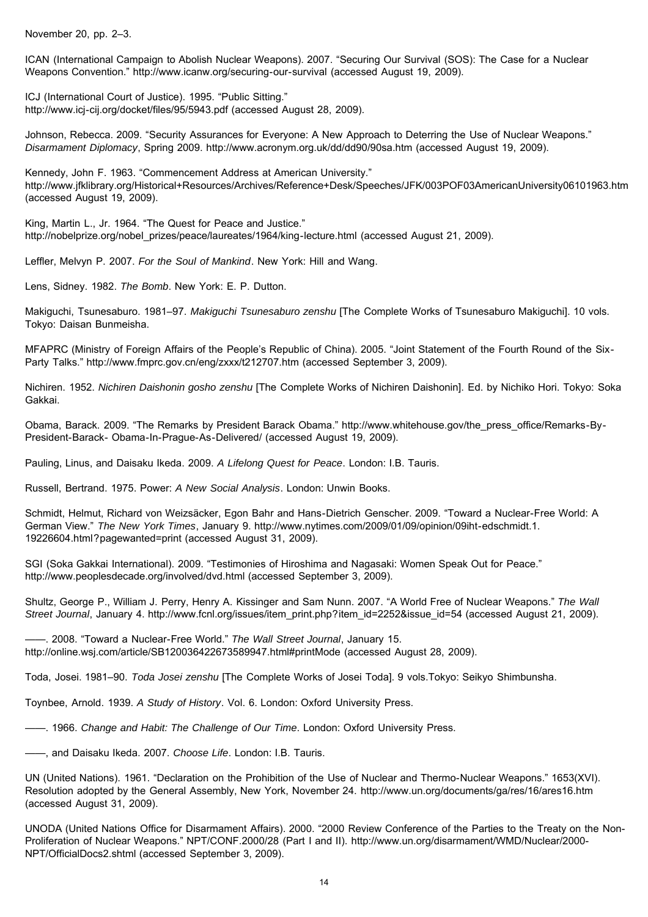November 20, pp. 2–3.

ICAN (International Campaign to Abolish Nuclear Weapons). 2007. "Securing Our Survival (SOS): The Case for a Nuclear Weapons Convention." http://www.icanw.org/securing-our-survival (accessed August 19, 2009).

ICJ (International Court of Justice). 1995. "Public Sitting." http://www.icj-cij.org/docket/files/95/5943.pdf (accessed August 28, 2009).

Johnson, Rebecca. 2009. "Security Assurances for Everyone: A New Approach to Deterring the Use of Nuclear Weapons." *Disarmament Diplomacy*, Spring 2009. http://www.acronym.org.uk/dd/dd90/90sa.htm (accessed August 19, 2009).

Kennedy, John F. 1963. "Commencement Address at American University." http://www.jfklibrary.org/Historical+Resources/Archives/Reference+Desk/Speeches/JFK/003POF03AmericanUniversity06101963.htm (accessed August 19, 2009).

King, Martin L., Jr. 1964. "The Quest for Peace and Justice." http://nobelprize.org/nobel\_prizes/peace/laureates/1964/king-lecture.html (accessed August 21, 2009).

Leffler, Melvyn P. 2007. *For the Soul of Mankind*. New York: Hill and Wang.

Lens, Sidney. 1982. *The Bomb*. New York: E. P. Dutton.

Makiguchi, Tsunesaburo. 1981–97. *Makiguchi Tsunesaburo zenshu* [The Complete Works of Tsunesaburo Makiguchi]. 10 vols. Tokyo: Daisan Bunmeisha.

MFAPRC (Ministry of Foreign Affairs of the People's Republic of China). 2005. "Joint Statement of the Fourth Round of the Six-Party Talks." http://www.fmprc.gov.cn/eng/zxxx/t212707.htm (accessed September 3, 2009).

Nichiren. 1952. *Nichiren Daishonin gosho zenshu* [The Complete Works of Nichiren Daishonin]. Ed. by Nichiko Hori. Tokyo: Soka Gakkai.

Obama, Barack. 2009. "The Remarks by President Barack Obama." http://www.whitehouse.gov/the\_press\_office/Remarks-By-President-Barack- Obama-In-Prague-As-Delivered/ (accessed August 19, 2009).

Pauling, Linus, and Daisaku Ikeda. 2009. *A Lifelong Quest for Peace*. London: I.B. Tauris.

Russell, Bertrand. 1975. Power: *A New Social Analysis*. London: Unwin Books.

Schmidt, Helmut, Richard von Weizsäcker, Egon Bahr and Hans-Dietrich Genscher. 2009. "Toward a Nuclear-Free World: A German View." *The New York Times*, January 9. http://www.nytimes.com/2009/01/09/opinion/09iht-edschmidt.1. 19226604.html?pagewanted=print (accessed August 31, 2009).

SGI (Soka Gakkai International). 2009. "Testimonies of Hiroshima and Nagasaki: Women Speak Out for Peace." http://www.peoplesdecade.org/involved/dvd.html (accessed September 3, 2009).

Shultz, George P., William J. Perry, Henry A. Kissinger and Sam Nunn. 2007. "A World Free of Nuclear Weapons." *The Wall Street Journal*, January 4. http://www.fcnl.org/issues/item\_print.php?item\_id=2252&issue\_id=54 (accessed August 21, 2009).

——. 2008. "Toward a Nuclear-Free World." *The Wall Street Journal*, January 15. http://online.wsj.com/article/SB120036422673589947.html#printMode (accessed August 28, 2009).

Toda, Josei. 1981–90. *Toda Josei zenshu* [The Complete Works of Josei Toda]. 9 vols.Tokyo: Seikyo Shimbunsha.

Toynbee, Arnold. 1939. *A Study of History*. Vol. 6. London: Oxford University Press.

——. 1966. *Change and Habit: The Challenge of Our Time*. London: Oxford University Press.

——, and Daisaku Ikeda. 2007. *Choose Life*. London: I.B. Tauris.

UN (United Nations). 1961. "Declaration on the Prohibition of the Use of Nuclear and Thermo-Nuclear Weapons." 1653(XVI). Resolution adopted by the General Assembly, New York, November 24. http://www.un.org/documents/ga/res/16/ares16.htm (accessed August 31, 2009).

UNODA (United Nations Office for Disarmament Affairs). 2000. "2000 Review Conference of the Parties to the Treaty on the Non-Proliferation of Nuclear Weapons." NPT/CONF.2000/28 (Part I and II). http://www.un.org/disarmament/WMD/Nuclear/2000- NPT/OfficialDocs2.shtml (accessed September 3, 2009).